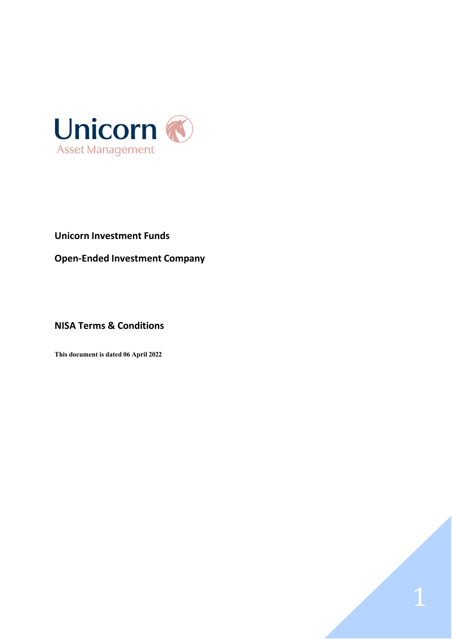

# **Unicorn Investment Funds**

**Open-Ended Investment Company**

1

# **NISA Terms & Conditions**

**This document is dated 06 April 2022**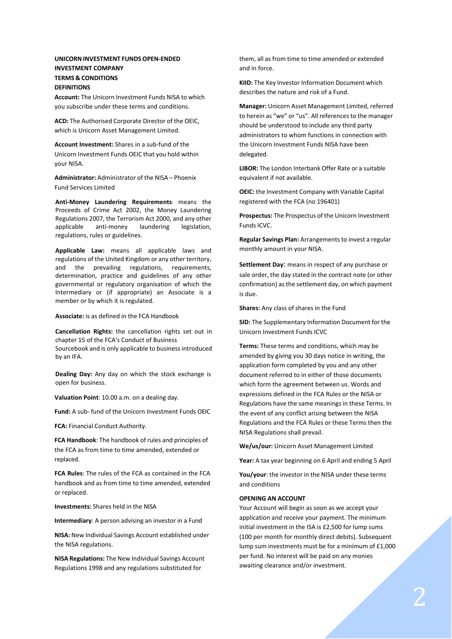# **UNICORN INVESTMENT FUNDS OPEN-ENDED INVESTMENT COMPANY TERMS & CONDITIONS DEFINITIONS**

**Account:** The Unicorn Investment Funds NISA to which you subscribe under these terms and conditions.

**ACD:** The Authorised Corporate Director of the OEIC, which is Unicorn Asset Management Limited.

**Account Investment:** Shares in a sub-fund of the Unicorn Investment Funds OEIC that you hold within your NISA.

**Administrator:** Administrator of the NISA – Phoenix Fund Services Limited

**Anti-Money Laundering Requirements**: means the Proceeds of Crime Act 2002, the Money Laundering Regulations 2007, the Terrorism Act 2000, and any other applicable anti-money laundering legislation, regulations, rules or guidelines.

**Applicable Law:** means all applicable laws and regulations of the United Kingdom or any other territory, and the prevailing regulations, requirements, determination, practice and guidelines of any other governmental or regulatory organisation of which the Intermediary or (if appropriate) an Associate is a member or by which it is regulated.

**Associate:** is as defined in the FCA Handbook

**Cancellation Rights:** the cancellation rights set out in chapter 15 of the FCA's Conduct of Business Sourcebook and is only applicable to businessintroduced by an IFA.

**Dealing Day:** Any day on which the stock exchange is open for business.

**Valuation Point**: 10.00 a.m. on a dealing day.

**Fund:** A sub- fund of the Unicorn Investment Funds OEIC

**FCA:** Financial Conduct Authority.

**FCA Handbook**: The handbook of rules and principles of the FCA as from time to time amended, extended or replaced.

**FCA Rules**: The rules of the FCA as contained in the FCA handbook and as from time to time amended, extended or replaced.

**Investments:** Shares held in the NISA

**Intermediary**: A person advising an investor in a Fund

**NISA:** New Individual Savings Account established under the NISA regulations.

**NISA Regulations:** The New Individual Savings Account Regulations 1998 and any regulations substituted for

them, all as from time to time amended or extended and in force.

**KIID:** The Key Investor Information Document which describes the nature and risk of a Fund.

**Manager:** Unicorn Asset Management Limited, referred to herein as "we" or "us". All references to the manager should be understood to include any third party administrators to whom functions in connection with the Unicorn Investment Funds NISA have been delegated.

**LIBOR:** The London Interbank Offer Rate or a suitable equivalent if not available.

**OEIC:** the Investment Company with Variable Capital registered with the FCA (no 196401)

**Prospectus:** The Prospectus of the Unicorn Investment Funds ICVC.

**Regular Savings Plan:** Arrangementsto invest a regular monthly amount in your NISA.

**Settlement Day**: means in respect of any purchase or sale order, the day stated in the contract note (or other confirmation) asthe settlement day, on which payment is due.

**Shares:** Any class of shares in the Fund

**SID:** The Supplementary Information Document for the Unicorn Investment Funds ICVC

**Terms:** These terms and conditions, which may be amended by giving you 30 days notice in writing, the application form completed by you and any other document referred to in either of those documents which form the agreement between us. Words and expressions defined in the FCA Rules or the NISA or Regulations have the same meanings in these Terms. In the event of any conflict arising between the NISA Regulations and the FCA Rules or these Terms then the NISA Regulations shall prevail.

**We/us/our:** Unicorn Asset Management Limited

**Year:** A tax year beginning on 6 April and ending 5 April

**You/your**: the investor in the NISA under these terms and conditions

# **OPENING AN ACCOUNT**

Your Account will begin as soon as we accept your application and receive your payment. The minimum initial investment in the ISA is £2,500 for lump sums (100 per month for monthly direct debits). Subsequent lump sum investments must be for a minimum of £1,000 per fund. No interest will be paid on any monies awaiting clearance and/or investment.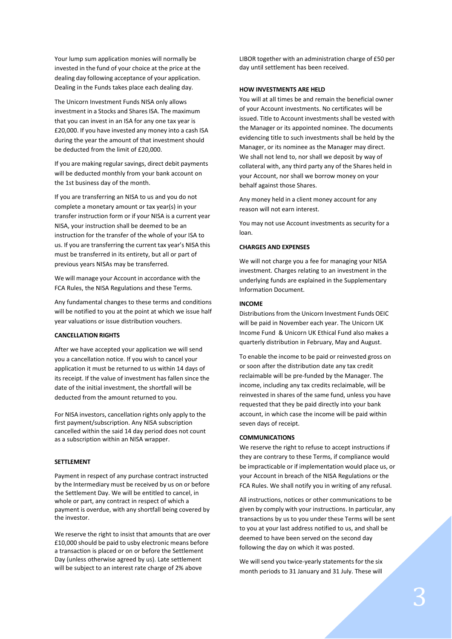Your lump sum application monies will normally be invested in the fund of your choice at the price at the dealing day following acceptance of your application. Dealing in the Funds takes place each dealing day.

The Unicorn Investment Funds NISA only allows investment in a Stocks and Shares ISA. The maximum that you can invest in an ISA for any one tax year is £20,000. If you have invested any money into a cash ISA during the year the amount of that investment should be deducted from the limit of £20,000.

If you are making regular savings, direct debit payments will be deducted monthly from your bank account on the 1st business day of the month.

If you are transferring an NISA to us and you do not complete a monetary amount or tax year(s) in your transfer instruction form or if your NISA is a current year NISA, your instruction shall be deemed to be an instruction for the transfer of the whole of your ISA to us. If you are transferring the current tax year's NISA this must be transferred in its entirety, but all or part of previous years NISAs may be transferred.

We will manage your Account in accordance with the FCA Rules, the NISA Regulations and these Terms.

Any fundamental changes to these terms and conditions will be notified to you at the point at which we issue half year valuations or issue distribution vouchers.

# **CANCELLATION RIGHTS**

After we have accepted your application we will send you a cancellation notice. If you wish to cancel your application it must be returned to us within 14 days of its receipt. If the value of investment has fallen since the date of the initial investment, the shortfall will be deducted from the amount returned to you.

For NISA investors, cancellation rights only apply to the first payment/subscription. Any NISA subscription cancelled within the said 14 day period does not count as a subscription within an NISA wrapper.

#### **SETTLEMENT**

Payment in respect of any purchase contract instructed by the Intermediary must be received by us on or before the Settlement Day. We will be entitled to cancel, in whole or part, any contract in respect of which a payment is overdue, with any shortfall being covered by the investor.

We reserve the right to insist that amounts that are over £10,000 should be paid to usby electronic means before a transaction is placed or on or before the Settlement Day (unless otherwise agreed by us). Late settlement will be subject to an interest rate charge of 2% above

LIBOR together with an administration charge of £50 per day until settlement has been received.

### **HOW INVESTMENTS ARE HELD**

You will at all times be and remain the beneficial owner of your Account investments. No certificates will be issued. Title to Account investments shall be vested with the Manager or its appointed nominee. The documents evidencing title to such investments shall be held by the Manager, or its nominee as the Manager may direct. We shall not lend to, nor shall we deposit by way of collateral with, any third party any of the Shares held in your Account, nor shall we borrow money on your behalf against those Shares.

Any money held in a client money account for any reason will not earn interest.

You may not use Account investments as security for a loan.

## **CHARGES AND EXPENSES**

We will not charge you a fee for managing your NISA investment. Charges relating to an investment in the underlying funds are explained in the Supplementary Information Document.

#### **INCOME**

Distributionsfrom the Unicorn Investment Funds OEIC will be paid in November each year. The Unicorn UK Income Fund & Unicorn UK Ethical Fund also makes a quarterly distribution in February, May and August.

To enable the income to be paid or reinvested gross on or soon after the distribution date any tax credit reclaimable will be pre-funded by the Manager. The income, including any tax credits reclaimable, will be reinvested in shares of the same fund, unless you have requested that they be paid directly into your bank account, in which case the income will be paid within seven days of receipt.

#### **COMMUNICATIONS**

We reserve the right to refuse to accept instructions if they are contrary to these Terms, if compliance would be impracticable or if implementation would place us, or your Account in breach of the NISA Regulations or the FCA Rules. We shall notify you in writing of any refusal.

All instructions, notices or other communications to be given by comply with your instructions. In particular, any transactions by us to you under these Terms will be sent to you at your last address notified to us, and shall be deemed to have been served on the second day following the day on which it was posted.

We will send you twice-yearly statements for the six month periods to 31 January and 31 July. These will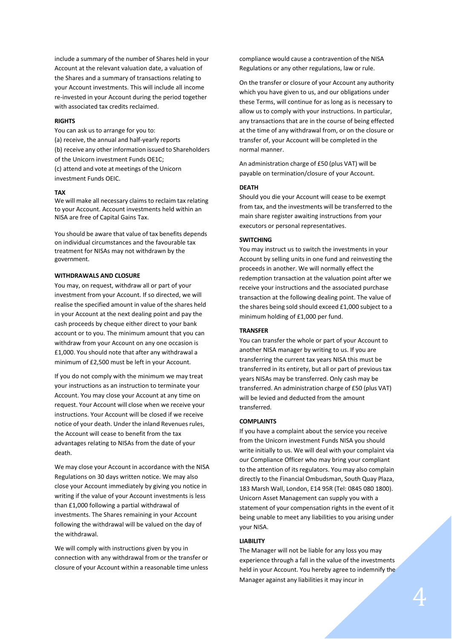include a summary of the number of Shares held in your Account at the relevant valuation date, a valuation of the Shares and a summary of transactions relating to your Account investments. This will include all income re-invested in your Account during the period together with associated tax credits reclaimed.

## **RIGHTS**

You can ask us to arrange for you to: (a) receive, the annual and half-yearly reports (b) receive any other information issued to Shareholders of the Unicorn investment Funds OE1C; (c) attend and vote at meetings of the Unicorn

investment Funds OEIC.

#### **TAX**

We will make all necessary claims to reclaim tax relating to your Account. Account investments held within an NISA are free of Capital Gains Tax.

You should be aware that value of tax benefits depends on individual circumstances and the favourable tax treatment for NISAs may not withdrawn by the government.

# **WITHDRAWALS AND CLOSURE**

You may, on request, withdraw all or part of your investment from your Account. If so directed, we will realise the specified amount in value of the shares held in your Account at the next dealing point and pay the cash proceeds by cheque either direct to your bank account or to you. The minimum amount that you can withdraw from your Account on any one occasion is £1,000. You should note that after any withdrawal a minimum of £2,500 must be left in your Account.

If you do not comply with the minimum we may treat your instructions as an instruction to terminate your Account. You may close your Account at any time on request. Your Account will close when we receive your instructions. Your Account will be closed if we receive notice of your death. Under the inland Revenues rules, the Account will cease to benefit from the tax advantages relating to NISAs from the date of your death.

We may close your Account in accordance with the NISA Regulations on 30 days written notice. We may also close your Account immediately by giving you notice in writing if the value of your Account investments is less than £1,000 following a partial withdrawal of investments. The Shares remaining in your Account following the withdrawal will be valued on the day of the withdrawal.

We will comply with instructions given by you in connection with any withdrawal from or the transfer or closure of your Account within a reasonable time unless compliance would cause a contravention of the NISA Regulations or any other regulations, law or rule.

On the transfer or closure of your Account any authority which you have given to us, and our obligations under these Terms, will continue for as long as is necessary to allow us to comply with your instructions. In particular, any transactions that are in the course of being effected at the time of any withdrawal from, or on the closure or transfer of, your Account will be completed in the normal manner.

An administration charge of £50 (plus VAT) will be payable on termination/closure of your Account.

# **DEATH**

Should you die your Account will cease to be exempt from tax, and the investments will be transferred to the main share register awaiting instructions from your executors or personal representatives.

#### **SWITCHING**

You may instruct us to switch the investments in your Account by selling units in one fund and reinvesting the proceeds in another. We will normally effect the redemption transaction at the valuation point after we receive your instructions and the associated purchase transaction at the following dealing point. The value of the shares being sold should exceed £1,000 subject to a minimum holding of £1,000 per fund.

# **TRANSFER**

You can transfer the whole or part of your Account to another NISA manager by writing to us. If you are transferring the current tax years NISA this must be transferred in its entirety, but all or part of previous tax years NISAs may be transferred. Only cash may be transferred. An administration charge of £50 (plus VAT) will be levied and deducted from the amount transferred.

#### **COMPLAINTS**

If you have a complaint about the service you receive from the Unicorn investment Funds NISA you should write initially to us. We will deal with your complaint via our Compliance Officer who may bring your compliant to the attention of its regulators. You may also complain directly to the Financial Ombudsman, South Quay Plaza, 183 Marsh Wall, London, E14 95R (Tel: 0845 080 1800). Unicorn Asset Management can supply you with a statement of your compensation rights in the event of it being unable to meet any liabilities to you arising under your NISA.

#### **LIABILITY**

Manager against any liabilities it may incur in The Manager will not be liable for any loss you may experience through a fall in the value of the investments held in your Account. You hereby agree to indemnify the